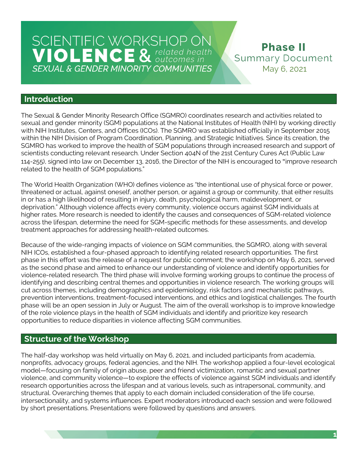**Phase II Summary Document** May 6, 2021

### **Introduction**

The Sexual & Gender Minority Research Office (SGMRO) coordinates research and activities related to sexual and gender minority (SGM) populations at the National Institutes of Health (NIH) by working directly with NIH Institutes, Centers, and Offices (ICOs). The SGMRO was established officially in September 2015 within the NIH Division of Program Coordination, Planning, and Strategic Initiatives. Since its creation, the SGMRO has worked to improve the health of SGM populations through increased research and support of scientists conducting relevant research. Under Section 404N of the 21st Century Cures Act (Public Law 114-255), signed into law on December 13, 2016, the Director of the NIH is encouraged to " improve research related to the health of SGM populations."

The World Health Organization (WHO) defines violence as "the intentional use of physical force or power, threatened or actual, against oneself, another person, or against a group or community, that either results in or has a high likelihood of resulting in injury, death, psychological harm, maldevelopment, or deprivation." Although violence affects every community, violence occurs against SGM individuals at higher rates. More research is needed to identify the causes and consequences of SGM-related violence across the lifespan, determine the need for SGM-specific methods for these assessments, and develop treatment approaches for addressing health-related outcomes.

Because of the wide-ranging impacts of violence on SGM communities, the SGMRO, along with several NIH ICOs, established a four-phased approach to identifying related research opportunities. The first phase in this effort was the release of a request for public comment; the workshop on May 6, 2021, served as the second phase and aimed to enhance our understanding of violence and identify opportunities for violence-related research. The third phase will involve forming working groups to continue the process of identifying and describing central themes and opportunities in violence research. The working groups will cut across themes, including demographics and epidemiology, risk factors and mechanistic pathways, prevention interventions, treatment-focused interventions, and ethics and logistical challenges. The fourth phase will be an open session in July or August. The aim of the overall workshop is to improve knowledge of the role violence plays in the health of SGM individuals and identify and prioritize key research opportunities to reduce disparities in violence affecting SGM communities.

## **Structure of the Workshop**

The half-day workshop was held virtually on May 6, 2021, and included participants from academia, nonprofits, advocacy groups, federal agencies, and the NIH. The workshop applied a four-level ecological model—focusing on family of origin abuse, peer and friend victimization, romantic and sexual partner violence, and community violence—to explore the effects of violence against SGM individuals and identify research opportunities across the lifespan and at various levels, such as intrapersonal, community, and structural. Overarching themes that apply to each domain included consideration of the life course, intersectionality, and systems influences. Expert moderators introduced each session and were followed by short presentations. Presentations were followed by questions and answers.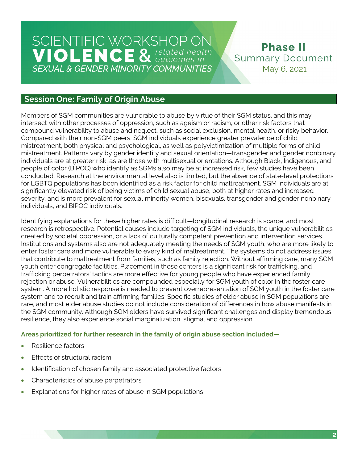**Phase II Summary Document** May 6, 2021

## **Session One: Family of Origin Abuse**

Members of SGM communities are vulnerable to abuse by virtue of their SGM status, and this may intersect with other processes of oppression, such as ageism or racism, or other risk factors that compound vulnerability to abuse and neglect, such as social exclusion, mental health, or risky behavior. Compared with their non-SGM peers, SGM individuals experience greater prevalence of child mistreatment, both physical and psychological, as well as polyvictimization of multiple forms of child mistreatment. Patterns vary by gender identity and sexual orientation—transgender and gender nonbinary individuals are at greater risk, as are those with multisexual orientations. Although Black, Indigenous, and people of color (BIPOC) who identify as SGMs also may be at increased risk, few studies have been conducted. Research at the environmental level also is limited, but the absence of state-level protections for LGBTQ populations has been identified as a risk factor for child maltreatment. SGM individuals are at significantly elevated risk of being victims of child sexual abuse, both at higher rates and increased severity, and is more prevalent for sexual minority women, bisexuals, transgender and gender nonbinary individuals, and BIPOC individuals.

Identifying explanations for these higher rates is difficult—longitudinal research is scarce, and most research is retrospective. Potential causes include targeting of SGM individuals, the unique vulnerabilities created by societal oppression, or a lack of culturally competent prevention and intervention services. Institutions and systems also are not adequately meeting the needs of SGM youth, who are more likely to enter foster care and more vulnerable to every kind of maltreatment. The systems do not address issues that contribute to maltreatment from families, such as family rejection. Without affirming care, many SGM youth enter congregate facilities. Placement in these centers is a significant risk for trafficking, and trafficking perpetrators' tactics are more effective for young people who have experienced family rejection or abuse. Vulnerabilities are compounded especially for SGM youth of color in the foster care system. A more holistic response is needed to prevent overrepresentation of SGM youth in the foster care system and to recruit and train affirming families. Specific studies of elder abuse in SGM populations are rare, and most elder abuse studies do not include consideration of differences in how abuse manifests in the SGM community. Although SGM elders have survived significant challenges and display tremendous resilience, they also experience social marginalization, stigma, and oppression.

#### **Areas prioritized for further research in the family of origin abuse section included—**

- Resilience factors
- Effects of structural racism
- Identification of chosen family and associated protective factors
- Characteristics of abuse perpetrators
- Explanations for higher rates of abuse in SGM populations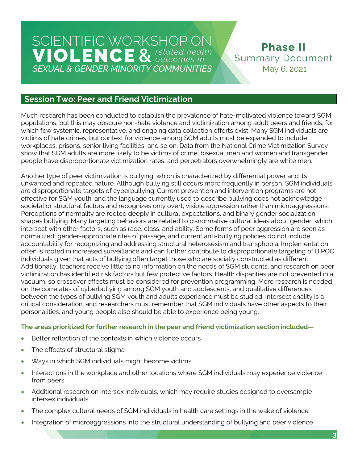**Phase II Summary Document** May 6, 2021

## **Session Two: Peer and Friend Victimization**

Much research has been conducted to establish the prevalence of hate-motivated violence toward SGM populations, but this may obscure non-hate violence and victimization among adult peers and friends, for which few systemic, representative, and ongoing data collection efforts exist. Many SGM individuals are victims of hate crimes, but context for violence among SGM adults must be expanded to include workplaces, prisons, senior living facilities, and so on. Data from the National Crime Victimization Survey show that SGM adults are more likely to be victims of crime; bisexual men and women and transgender people have disproportionate victimization rates, and perpetrators overwhelmingly are white men.

Another type of peer victimization is bullying, which is characterized by differential power and its unwanted and repeated nature. Although bullying still occurs more frequently in person, SGM individuals are disproportionate targets of cyberbullying. Current prevention and intervention programs are not effective for SGM youth, and the language currently used to describe bullying does not acknowledge societal or structural factors and recognizes only overt, visible aggression rather than microaggressions. Perceptions of normality are rooted deeply in cultural expectations, and binary gender socialization shapes bullying. Many targeting behaviors are related to cisnormative cultural ideas about gender, which intersect with other factors, such as race, class, and ability. Some forms of peer aggression are seen as normalized, gender-appropriate rites of passage, and current anti-bullying policies do not include accountability for recognizing and addressing structural heterosexism and transphobia. Implementation often is rooted in increased surveillance and can further contribute to disproportionate targeting of BIPOC individuals given that acts of bullying often target those who are socially constructed as different. Additionally, teachers receive little to no information on the needs of SGM students, and research on peer victimization has identified risk factors but few protective factors. Health disparities are not prevented in a vacuum, so crossover effects must be considered for prevention programming. More research is needed on the correlates of cyberbullying among SGM youth and adolescents, and qualitative differences between the types of bullying SGM youth and adults experience must be studied. Intersectionality is a critical consideration, and researchers must remember that SGM individuals have other aspects to their personalities, and young people also should be able to experience being young.

#### **The areas prioritized for further research in the peer and friend victimization section included—**

- Better reflection of the contexts in which violence occurs
- The effects of structural stigma
- Ways in which SGM individuals might become victims
- Interactions in the workplace and other locations where SGM individuals may experience violence from peers
- Additional research on intersex individuals, which may require studies designed to oversample intersex individuals
- The complex cultural needs of SGM individuals in health care settings in the wake of violence
- Integration of microaggressions into the structural understanding of bullying and peer violence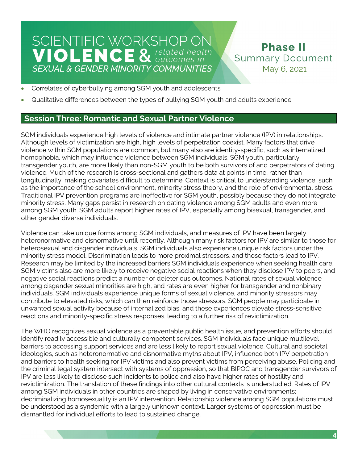**Phase II Summary Document** May 6, 2021

- Correlates of cyberbullying among SGM youth and adolescents
- Qualitative differences between the types of bullying SGM youth and adults experience

## **Session Three: Romantic and Sexual Partner Violence**

SGM individuals experience high levels of violence and intimate partner violence (IPV) in relationships. Although levels of victimization are high, high levels of perpetration coexist. Many factors that drive violence within SGM populations are common, but many also are identity-specific, such as internalized homophobia, which may influence violence between SGM individuals. SGM youth, particularly transgender youth, are more likely than non-SGM youth to be both survivors of and perpetrators of dating violence. Much of the research is cross-sectional and gathers data at points in time, rather than longitudinally, making covariates difficult to determine. Context is critical to understanding violence, such as the importance of the school environment, minority stress theory, and the role of environmental stress. Traditional IPV prevention programs are ineffective for SGM youth, possibly because they do not integrate minority stress. Many gaps persist in research on dating violence among SGM adults and even more among SGM youth. SGM adults report higher rates of IPV, especially among bisexual, transgender, and other gender diverse individuals.

Violence can take unique forms among SGM individuals, and measures of IPV have been largely heteronormative and cisnormative until recently. Although many risk factors for IPV are similar to those for heterosexual and cisgender individuals, SGM individuals also experience unique risk factors under the minority stress model. Discrimination leads to more proximal stressors, and those factors lead to IPV. Research may be limited by the increased barriers SGM individuals experience when seeking health care. SGM victims also are more likely to receive negative social reactions when they disclose IPV to peers, and negative social reactions predict a number of deleterious outcomes. National rates of sexual violence among cisgender sexual minorities are high, and rates are even higher for transgender and nonbinary individuals. SGM individuals experience unique forms of sexual violence, and minority stressors may contribute to elevated risks, which can then reinforce those stressors. SGM people may participate in unwanted sexual activity because of internalized bias, and these experiences elevate stress-sensitive reactions and minority-specific stress responses, leading to a further risk of revictimization.

The WHO recognizes sexual violence as a preventable public health issue, and prevention efforts should identify readily accessible and culturally competent services. SGM individuals face unique multilevel barriers to accessing support services and are less likely to report sexual violence. Cultural and societal ideologies, such as heteronormative and cisnormative myths about IPV, influence both IPV perpetration and barriers to health seeking for IPV victims and also prevent victims from perceiving abuse. Policing and the criminal legal system intersect with systems of oppression, so that BIPOC and transgender survivors of IPV are less likely to disclose such incidents to police and also have higher rates of hostility and revictimization. The translation of these findings into other cultural contexts is understudied. Rates of IPV among SGM individuals in other countries are shaped by living in conservative environments; decriminalizing homosexuality is an IPV intervention. Relationship violence among SGM populations must be understood as a syndemic with a largely unknown context. Larger systems of oppression must be dismantled for individual efforts to lead to sustained change.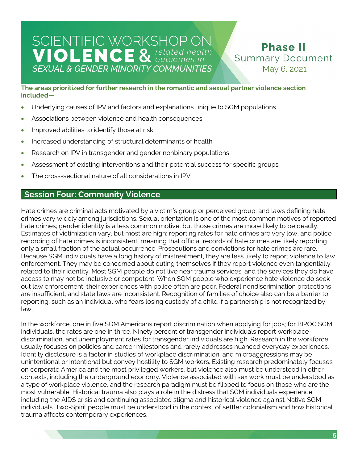**Phase II Summary Document** May 6, 2021

**The areas prioritized for further research in the romantic and sexual partner violence section included—** 

- Underlying causes of IPV and factors and explanations unique to SGM populations
- Associations between violence and health consequences
- Improved abilities to identify those at risk
- Increased understanding of structural determinants of health
- Research on IPV in transgender and gender nonbinary populations
- Assessment of existing interventions and their potential success for specific groups
- The cross-sectional nature of all considerations in IPV

### **Session Four: Community Violence**

Hate crimes are criminal acts motivated by a victim's group or perceived group, and laws defining hate crimes vary widely among jurisdictions. Sexual orientation is one of the most common motives of reported hate crimes; gender identity is a less common motive, but those crimes are more likely to be deadly. Estimates of victimization vary, but most are high; reporting rates for hate crimes are very low, and police recording of hate crimes is inconsistent, meaning that official records of hate crimes are likely reporting only a small fraction of the actual occurrence. Prosecutions and convictions for hate crimes are rare. Because SGM individuals have a long history of mistreatment, they are less likely to report violence to law enforcement. They may be concerned about outing themselves if they report violence even tangentially related to their identity. Most SGM people do not live near trauma services, and the services they do have access to may not be inclusive or competent. When SGM people who experience hate violence do seek out law enforcement, their experiences with police often are poor. Federal nondiscrimination protections are insufficient, and state laws are inconsistent. Recognition of families of choice also can be a barrier to reporting, such as an individual who fears losing custody of a child if a partnership is not recognized by law.

In the workforce, one in five SGM Americans report discrimination when applying for jobs; for BIPOC SGM individuals, the rates are one in three. Ninety percent of transgender individuals report workplace discrimination, and unemployment rates for transgender individuals are high. Research in the workforce usually focuses on policies and career milestones and rarely addresses nuanced everyday experiences. Identity disclosure is a factor in studies of workplace discrimination, and microaggressions may be unintentional or intentional but convey hostility to SGM workers. Existing research predominately focuses on corporate America and the most privileged workers, but violence also must be understood in other contexts, including the underground economy. Violence associated with sex work must be understood as a type of workplace violence, and the research paradigm must be flipped to focus on those who are the most vulnerable. Historical trauma also plays a role in the distress that SGM individuals experience, including the AIDS crisis and continuing associated stigma and historical violence against Native SGM individuals. Two-Spirit people must be understood in the context of settler colonialism and how historical trauma affects contemporary experiences.